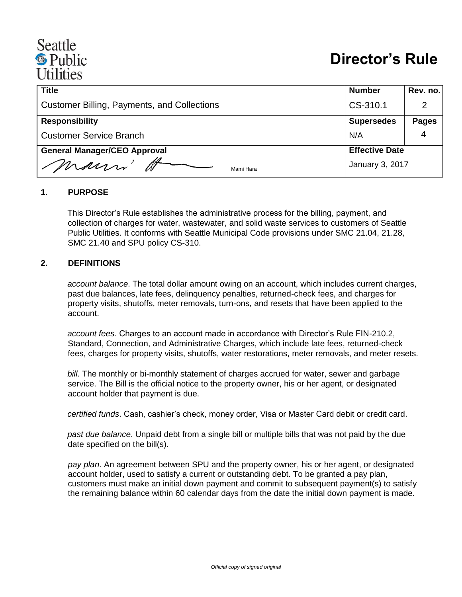# Seattle <sup><sup>®</sup> Public</sup> *Itilities*

| <b>Title</b>                                       | <b>Number</b>         | Rev. no.     |
|----------------------------------------------------|-----------------------|--------------|
| <b>Customer Billing, Payments, and Collections</b> | CS-310.1              |              |
| <b>Responsibility</b>                              | <b>Supersedes</b>     | <b>Pages</b> |
| <b>Customer Service Branch</b>                     | N/A                   |              |
| <b>General Manager/CEO Approval</b>                | <b>Effective Date</b> |              |
| mann'<br>Mami Hara                                 | January 3, 2017       |              |

#### **1. PURPOSE**

This Director's Rule establishes the administrative process for the billing, payment, and collection of charges for water, wastewater, and solid waste services to customers of Seattle Public Utilities. It conforms with Seattle Municipal Code provisions under SMC 21.04, 21.28, SMC 21.40 and SPU policy CS-310.

#### **2. DEFINITIONS**

*account balance*. The total dollar amount owing on an account, which includes current charges, past due balances, late fees, delinquency penalties, returned-check fees, and charges for property visits, shutoffs, meter removals, turn-ons, and resets that have been applied to the account.

*account fees*. Charges to an account made in accordance with Director's Rule FIN-210.2, Standard, Connection, and Administrative Charges, which include late fees, returned-check fees, charges for property visits, shutoffs, water restorations, meter removals, and meter resets.

*bill*. The monthly or bi-monthly statement of charges accrued for water, sewer and garbage service. The Bill is the official notice to the property owner, his or her agent, or designated account holder that payment is due.

*certified funds*. Cash, cashier's check, money order, Visa or Master Card debit or credit card.

*past due balance*. Unpaid debt from a single bill or multiple bills that was not paid by the due date specified on the bill(s).

*pay plan*. An agreement between SPU and the property owner, his or her agent, or designated account holder, used to satisfy a current or outstanding debt. To be granted a pay plan, customers must make an initial down payment and commit to subsequent payment(s) to satisfy the remaining balance within 60 calendar days from the date the initial down payment is made.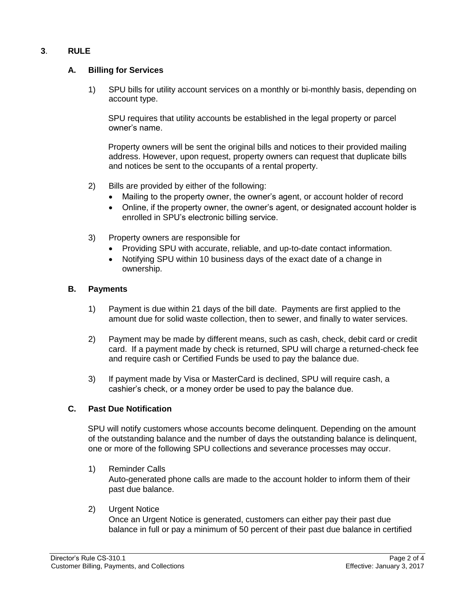## **3**. **RULE**

## **A. Billing for Services**

1) SPU bills for utility account services on a monthly or bi-monthly basis, depending on account type.

SPU requires that utility accounts be established in the legal property or parcel owner's name.

Property owners will be sent the original bills and notices to their provided mailing address. However, upon request, property owners can request that duplicate bills and notices be sent to the occupants of a rental property.

- 2) Bills are provided by either of the following:
	- Mailing to the property owner, the owner's agent, or account holder of record
	- Online, if the property owner, the owner's agent, or designated account holder is enrolled in SPU's electronic billing service.
- 3) Property owners are responsible for
	- Providing SPU with accurate, reliable, and up-to-date contact information.
	- Notifying SPU within 10 business days of the exact date of a change in ownership.

#### **B. Payments**

- 1) Payment is due within 21 days of the bill date. Payments are first applied to the amount due for solid waste collection, then to sewer, and finally to water services.
- 2) Payment may be made by different means, such as cash, check, debit card or credit card. If a payment made by check is returned, SPU will charge a returned-check fee and require cash or Certified Funds be used to pay the balance due.
- 3) If payment made by Visa or MasterCard is declined, SPU will require cash, a cashier's check, or a money order be used to pay the balance due.

## **C. Past Due Notification**

SPU will notify customers whose accounts become delinquent. Depending on the amount of the outstanding balance and the number of days the outstanding balance is delinquent, one or more of the following SPU collections and severance processes may occur.

- 1) Reminder Calls Auto-generated phone calls are made to the account holder to inform them of their past due balance.
- 2) Urgent Notice

Once an Urgent Notice is generated, customers can either pay their past due balance in full or pay a minimum of 50 percent of their past due balance in certified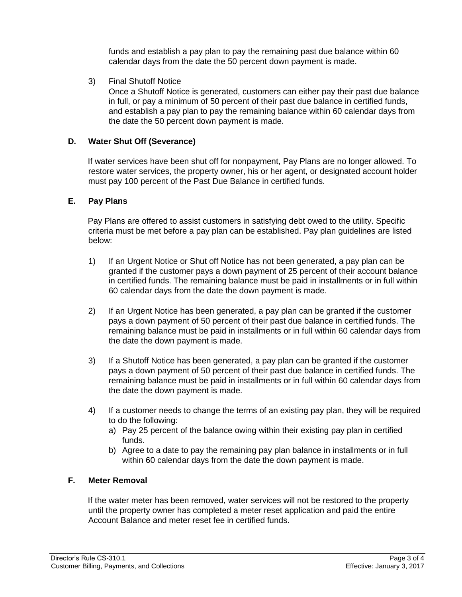funds and establish a pay plan to pay the remaining past due balance within 60 calendar days from the date the 50 percent down payment is made.

3) Final Shutoff Notice

Once a Shutoff Notice is generated, customers can either pay their past due balance in full, or pay a minimum of 50 percent of their past due balance in certified funds, and establish a pay plan to pay the remaining balance within 60 calendar days from the date the 50 percent down payment is made.

### **D. Water Shut Off (Severance)**

If water services have been shut off for nonpayment, Pay Plans are no longer allowed. To restore water services, the property owner, his or her agent, or designated account holder must pay 100 percent of the Past Due Balance in certified funds.

#### **E. Pay Plans**

Pay Plans are offered to assist customers in satisfying debt owed to the utility. Specific criteria must be met before a pay plan can be established. Pay plan guidelines are listed below:

- 1) If an Urgent Notice or Shut off Notice has not been generated, a pay plan can be granted if the customer pays a down payment of 25 percent of their account balance in certified funds. The remaining balance must be paid in installments or in full within 60 calendar days from the date the down payment is made.
- 2) If an Urgent Notice has been generated, a pay plan can be granted if the customer pays a down payment of 50 percent of their past due balance in certified funds. The remaining balance must be paid in installments or in full within 60 calendar days from the date the down payment is made.
- 3) If a Shutoff Notice has been generated, a pay plan can be granted if the customer pays a down payment of 50 percent of their past due balance in certified funds. The remaining balance must be paid in installments or in full within 60 calendar days from the date the down payment is made.
- 4) If a customer needs to change the terms of an existing pay plan, they will be required to do the following:
	- a) Pay 25 percent of the balance owing within their existing pay plan in certified funds.
	- b) Agree to a date to pay the remaining pay plan balance in installments or in full within 60 calendar days from the date the down payment is made.

#### **F. Meter Removal**

If the water meter has been removed, water services will not be restored to the property until the property owner has completed a meter reset application and paid the entire Account Balance and meter reset fee in certified funds.